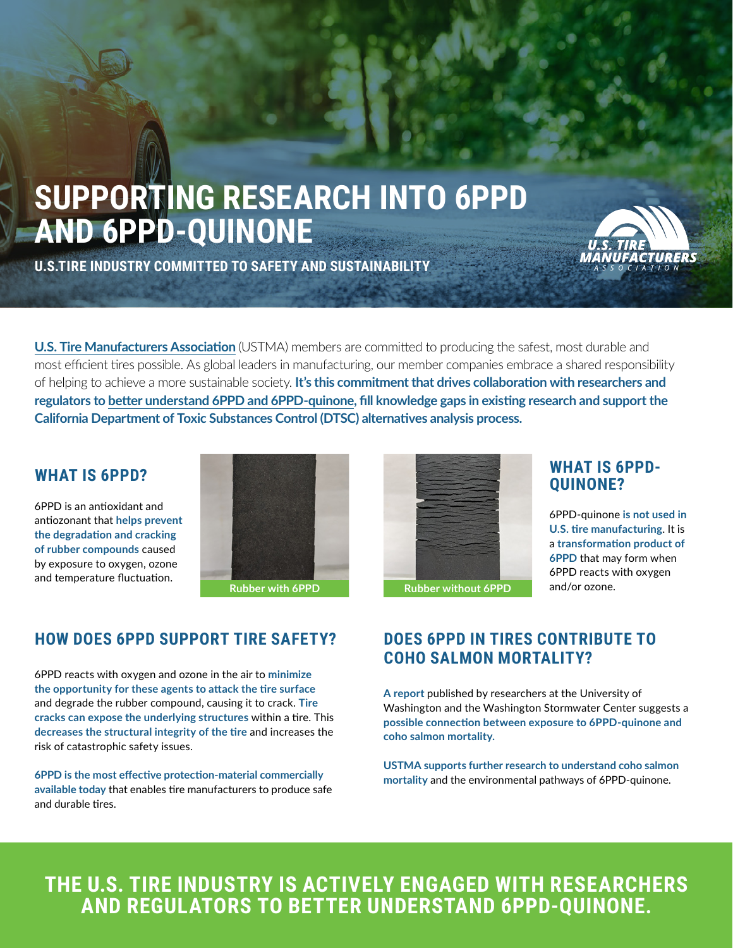# **SUPPORTING RESEARCH INTO 6PPD AND 6PPD-QUINONE**



**U.S.TIRE INDUSTRY COMMITTED TO SAFETY AND SUSTAINABILITY**

**[U.S. Tire Manufacturers Association](https://www.ustires.org/)** (USTMA) members are committed to producing the safest, most durable and most efficient tires possible. As global leaders in manufacturing, our member companies embrace a shared responsibility of helping to achieve a more sustainable society. **It's this commitment that drives collaboration with researchers and regulators to [better understand 6PPD and 6PPD-quinone,](https://www.ustires.org/6ppd-and-tire-manufacturing) fill knowledge gaps in existing research and support the California Department of Toxic Substances Control (DTSC) alternatives analysis process.** 

#### **WHAT IS 6PPD?**

6PPD is an antioxidant and antiozonant that **helps prevent the degradation and cracking of rubber compounds** caused by exposure to oxygen, ozone and temperature fluctuation.



### **HOW DOES 6PPD SUPPORT TIRE SAFETY?**

6PPD reacts with oxygen and ozone in the air to **minimize the opportunity for these agents to attack the tire surface** and degrade the rubber compound, causing it to crack. **Tire cracks can expose the underlying structures** within a tire. This **decreases the structural integrity of the tire** and increases the risk of catastrophic safety issues.

**6PPD is the most effective protection-material commercially available today** that enables tire manufacturers to produce safe and durable tires.



## **WHAT IS 6PPD-QUINONE?**

6PPD-quinone **is not used in U.S. tire manufacturing**. It is a **transformation product of 6PPD** that may form when 6PPD reacts with oxygen and/or ozone.

#### **DOES 6PPD IN TIRES CONTRIBUTE TO COHO SALMON MORTALITY?**

**A report** published by researchers at the University of Washington and the Washington Stormwater Center suggests a **possible connection between exposure to 6PPD-quinone and coho salmon mortality.**

**USTMA supports further research to understand coho salmon mortality** and the environmental pathways of 6PPD-quinone.

## **THE U.S. TIRE INDUSTRY IS ACTIVELY ENGAGED WITH RESEARCHERS AND REGULATORS TO BETTER UNDERSTAND 6PPD-QUINONE.**